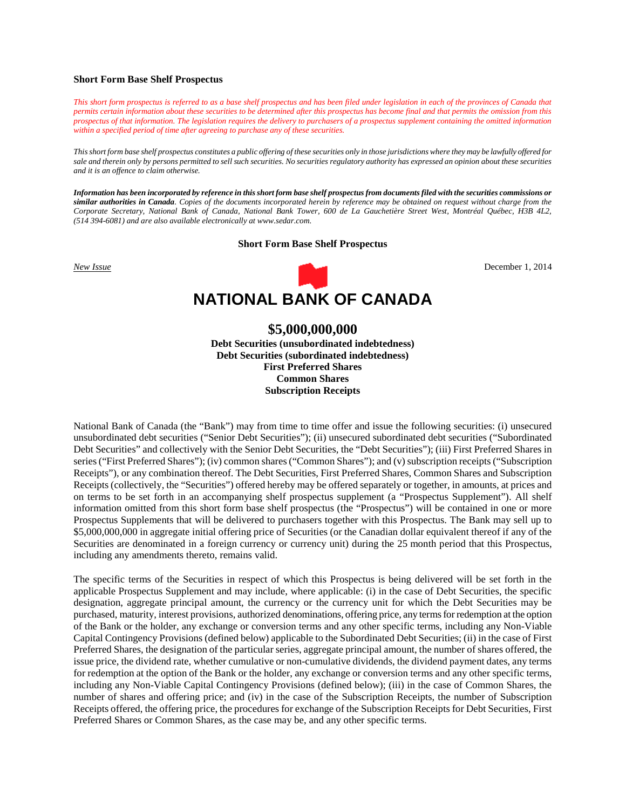#### **Short Form Base Shelf Prospectus**

*This short form prospectus is referred to as a base shelf prospectus and has been filed under legislation in each of the provinces of Canada that permits certain information about these securities to be determined after this prospectus has become final and that permits the omission from this prospectus of that information. The legislation requires the delivery to purchasers of a prospectus supplement containing the omitted information within a specified period of time after agreeing to purchase any of these securities.*

*This short form base shelf prospectus constitutes a public offering of these securities only in those jurisdictions where they may be lawfully offered for sale and therein only by persons permitted to sell such securities. No securities regulatory authority has expressed an opinion about these securities and it is an offence to claim otherwise.*

*Information has been incorporated by reference in this short form base shelf prospectus from documents filed with the securities commissions or similar authorities in Canada. Copies of the documents incorporated herein by reference may be obtained on request without charge from the Corporate Secretary, National Bank of Canada, National Bank Tower, 600 de La Gauchetière Street West, Montréal Québec, H3B 4L2, (514 394-6081) and are also available electronically at www.sedar.com.*

#### **Short Form Base Shelf Prospectus**



# **\$5,000,000,000**

**Debt Securities (unsubordinated indebtedness) Debt Securities (subordinated indebtedness) First Preferred Shares Common Shares Subscription Receipts**

National Bank of Canada (the "Bank") may from time to time offer and issue the following securities: (i) unsecured unsubordinated debt securities ("Senior Debt Securities"); (ii) unsecured subordinated debt securities ("Subordinated Debt Securities" and collectively with the Senior Debt Securities, the "Debt Securities"); (iii) First Preferred Shares in series ("First Preferred Shares"); (iv) common shares ("Common Shares"); and (v) subscription receipts ("Subscription Receipts"), or any combination thereof. The Debt Securities, First Preferred Shares, Common Shares and Subscription Receipts (collectively, the "Securities") offered hereby may be offered separately or together, in amounts, at prices and on terms to be set forth in an accompanying shelf prospectus supplement (a "Prospectus Supplement"). All shelf information omitted from this short form base shelf prospectus (the "Prospectus") will be contained in one or more Prospectus Supplements that will be delivered to purchasers together with this Prospectus. The Bank may sell up to \$5,000,000,000 in aggregate initial offering price of Securities (or the Canadian dollar equivalent thereof if any of the Securities are denominated in a foreign currency or currency unit) during the 25 month period that this Prospectus, including any amendments thereto, remains valid.

The specific terms of the Securities in respect of which this Prospectus is being delivered will be set forth in the applicable Prospectus Supplement and may include, where applicable: (i) in the case of Debt Securities, the specific designation, aggregate principal amount, the currency or the currency unit for which the Debt Securities may be purchased, maturity, interest provisions, authorized denominations, offering price, any terms for redemption at the option of the Bank or the holder, any exchange or conversion terms and any other specific terms, including any Non-Viable Capital Contingency Provisions (defined below) applicable to the Subordinated Debt Securities; (ii) in the case of First Preferred Shares, the designation of the particular series, aggregate principal amount, the number of shares offered, the issue price, the dividend rate, whether cumulative or non-cumulative dividends, the dividend payment dates, any terms for redemption at the option of the Bank or the holder, any exchange or conversion terms and any other specific terms, including any Non-Viable Capital Contingency Provisions (defined below); (iii) in the case of Common Shares, the number of shares and offering price; and (iv) in the case of the Subscription Receipts, the number of Subscription Receipts offered, the offering price, the procedures for exchange of the Subscription Receipts for Debt Securities, First Preferred Shares or Common Shares, as the case may be, and any other specific terms.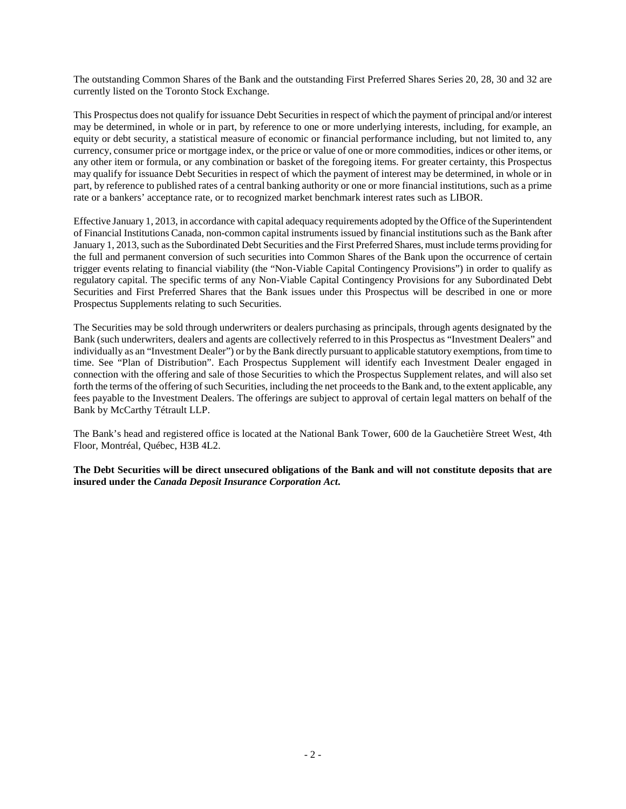The outstanding Common Shares of the Bank and the outstanding First Preferred Shares Series 20, 28, 30 and 32 are currently listed on the Toronto Stock Exchange.

This Prospectus does not qualify for issuance Debt Securities in respect of which the payment of principal and/or interest may be determined, in whole or in part, by reference to one or more underlying interests, including, for example, an equity or debt security, a statistical measure of economic or financial performance including, but not limited to, any currency, consumer price or mortgage index, or the price or value of one or more commodities, indices or other items, or any other item or formula, or any combination or basket of the foregoing items. For greater certainty, this Prospectus may qualify for issuance Debt Securities in respect of which the payment of interest may be determined, in whole or in part, by reference to published rates of a central banking authority or one or more financial institutions, such as a prime rate or a bankers' acceptance rate, or to recognized market benchmark interest rates such as LIBOR.

Effective January 1, 2013, in accordance with capital adequacy requirements adopted by the Office of the Superintendent of Financial Institutions Canada, non-common capital instruments issued by financial institutions such as the Bank after January 1, 2013, such as the Subordinated Debt Securities and the First Preferred Shares, must include terms providing for the full and permanent conversion of such securities into Common Shares of the Bank upon the occurrence of certain trigger events relating to financial viability (the "Non-Viable Capital Contingency Provisions") in order to qualify as regulatory capital. The specific terms of any Non-Viable Capital Contingency Provisions for any Subordinated Debt Securities and First Preferred Shares that the Bank issues under this Prospectus will be described in one or more Prospectus Supplements relating to such Securities.

The Securities may be sold through underwriters or dealers purchasing as principals, through agents designated by the Bank (such underwriters, dealers and agents are collectively referred to in this Prospectus as "Investment Dealers" and individually as an "Investment Dealer") or by the Bank directly pursuant to applicable statutory exemptions, from time to time. See "Plan of Distribution". Each Prospectus Supplement will identify each Investment Dealer engaged in connection with the offering and sale of those Securities to which the Prospectus Supplement relates, and will also set forth the terms of the offering of such Securities, including the net proceeds to the Bank and, to the extent applicable, any fees payable to the Investment Dealers. The offerings are subject to approval of certain legal matters on behalf of the Bank by McCarthy Tétrault LLP.

The Bank's head and registered office is located at the National Bank Tower, 600 de la Gauchetière Street West, 4th Floor, Montréal, Québec, H3B 4L2.

**The Debt Securities will be direct unsecured obligations of the Bank and will not constitute deposits that are insured under the** *Canada Deposit Insurance Corporation Act***.**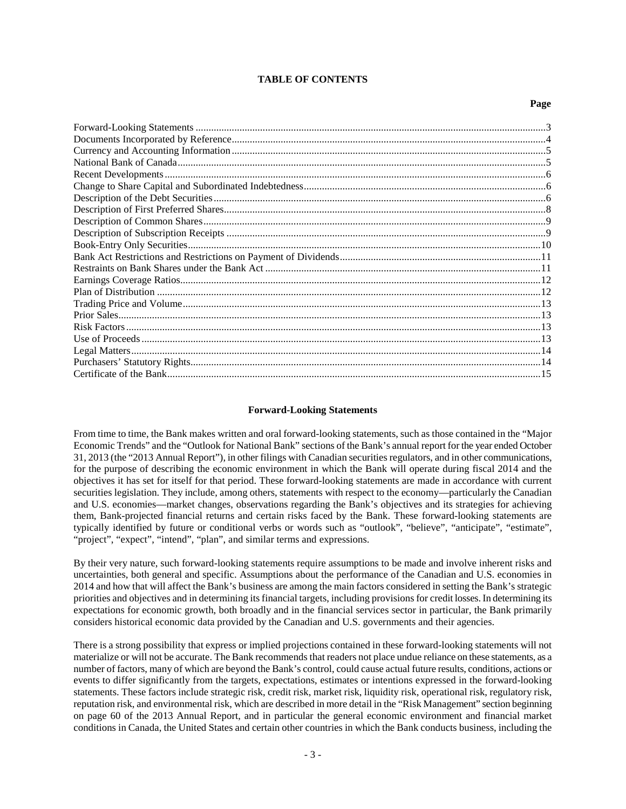## **TABLE OF CONTENTS**

#### **Page**

#### <span id="page-2-0"></span>**Forward-Looking Statements**

From time to time, the Bank makes written and oral forward-looking statements, such as those contained in the "Major Economic Trends" and the "Outlook for National Bank" sections of the Bank's annual report for the year ended October 31, 2013 (the "2013 Annual Report"), in other filings with Canadian securities regulators, and in other communications, for the purpose of describing the economic environment in which the Bank will operate during fiscal 2014 and the objectives it has set for itself for that period. These forward-looking statements are made in accordance with current securities legislation. They include, among others, statements with respect to the economy—particularly the Canadian and U.S. economies—market changes, observations regarding the Bank's objectives and its strategies for achieving them, Bank-projected financial returns and certain risks faced by the Bank. These forward-looking statements are typically identified by future or conditional verbs or words such as "outlook", "believe", "anticipate", "estimate", "project", "expect", "intend", "plan", and similar terms and expressions.

By their very nature, such forward-looking statements require assumptions to be made and involve inherent risks and uncertainties, both general and specific. Assumptions about the performance of the Canadian and U.S. economies in 2014 and how that will affect the Bank's business are among the main factors considered in setting the Bank's strategic priorities and objectives and in determining its financial targets, including provisions for credit losses. In determining its expectations for economic growth, both broadly and in the financial services sector in particular, the Bank primarily considers historical economic data provided by the Canadian and U.S. governments and their agencies.

There is a strong possibility that express or implied projections contained in these forward-looking statements will not materialize or will not be accurate. The Bank recommends that readers not place undue reliance on these statements, as a number of factors, many of which are beyond the Bank's control, could cause actual future results, conditions, actions or events to differ significantly from the targets, expectations, estimates or intentions expressed in the forward-looking statements. These factors include strategic risk, credit risk, market risk, liquidity risk, operational risk, regulatory risk, reputation risk, and environmental risk, which are described in more detail in the "Risk Management" section beginning on page 60 of the 2013 Annual Report, and in particular the general economic environment and financial market conditions in Canada, the United States and certain other countries in which the Bank conducts business, including the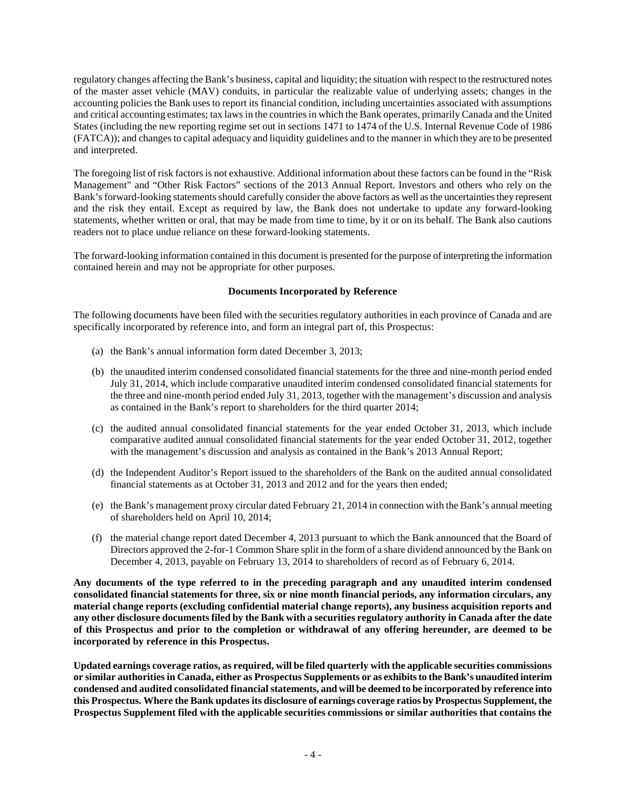regulatory changes affecting the Bank's business, capital and liquidity; the situation with respect to the restructured notes of the master asset vehicle (MAV) conduits, in particular the realizable value of underlying assets; changes in the accounting policies the Bank uses to report its financial condition, including uncertainties associated with assumptions and critical accounting estimates; tax laws in the countries in which the Bank operates, primarily Canada and the United States (including the new reporting regime set out in sections 1471 to 1474 of the U.S. Internal Revenue Code of 1986 (FATCA)); and changes to capital adequacy and liquidity guidelines and to the manner in which they are to be presented and interpreted.

The foregoing list of risk factors is not exhaustive. Additional information about these factors can be found in the "Risk Management" and "Other Risk Factors" sections of the 2013 Annual Report. Investors and others who rely on the Bank's forward-looking statements should carefully consider the above factors as well as the uncertainties they represent and the risk they entail. Except as required by law, the Bank does not undertake to update any forward-looking statements, whether written or oral, that may be made from time to time, by it or on its behalf. The Bank also cautions readers not to place undue reliance on these forward-looking statements.

The forward-looking information contained in this document is presented for the purpose of interpreting the information contained herein and may not be appropriate for other purposes.

## <span id="page-3-0"></span>**Documents Incorporated by Reference**

The following documents have been filed with the securities regulatory authorities in each province of Canada and are specifically incorporated by reference into, and form an integral part of, this Prospectus:

- (a) the Bank's annual information form dated December 3, 2013;
- (b) the unaudited interim condensed consolidated financial statements for the three and nine-month period ended July 31, 2014, which include comparative unaudited interim condensed consolidated financial statements for the three and nine-month period ended July 31, 2013, together with the management's discussion and analysis as contained in the Bank's report to shareholders for the third quarter 2014;
- (c) the audited annual consolidated financial statements for the year ended October 31, 2013, which include comparative audited annual consolidated financial statements for the year ended October 31, 2012, together with the management's discussion and analysis as contained in the Bank's 2013 Annual Report;
- (d) the Independent Auditor's Report issued to the shareholders of the Bank on the audited annual consolidated financial statements as at October 31, 2013 and 2012 and for the years then ended;
- (e) the Bank's management proxy circular dated February 21, 2014 in connection with the Bank's annual meeting of shareholders held on April 10, 2014;
- (f) the material change report dated December 4, 2013 pursuant to which the Bank announced that the Board of Directors approved the 2-for-1 Common Share split in the form of a share dividend announced by the Bank on December 4, 2013, payable on February 13, 2014 to shareholders of record as of February 6, 2014.

**Any documents of the type referred to in the preceding paragraph and any unaudited interim condensed consolidated financial statements for three, six or nine month financial periods, any information circulars, any material change reports (excluding confidential material change reports), any business acquisition reports and any other disclosure documents filed by the Bank with a securities regulatory authority in Canada after the date of this Prospectus and prior to the completion or withdrawal of any offering hereunder, are deemed to be incorporated by reference in this Prospectus.**

**Updated earnings coverage ratios, as required, will be filed quarterly with the applicable securities commissions or similar authorities in Canada, either as Prospectus Supplements or as exhibits to the Bank's unaudited interim condensed and audited consolidated financial statements, and will be deemed to be incorporated by reference into this Prospectus. Where the Bank updates its disclosure of earnings coverage ratios by Prospectus Supplement, the Prospectus Supplement filed with the applicable securities commissions or similar authorities that contains the**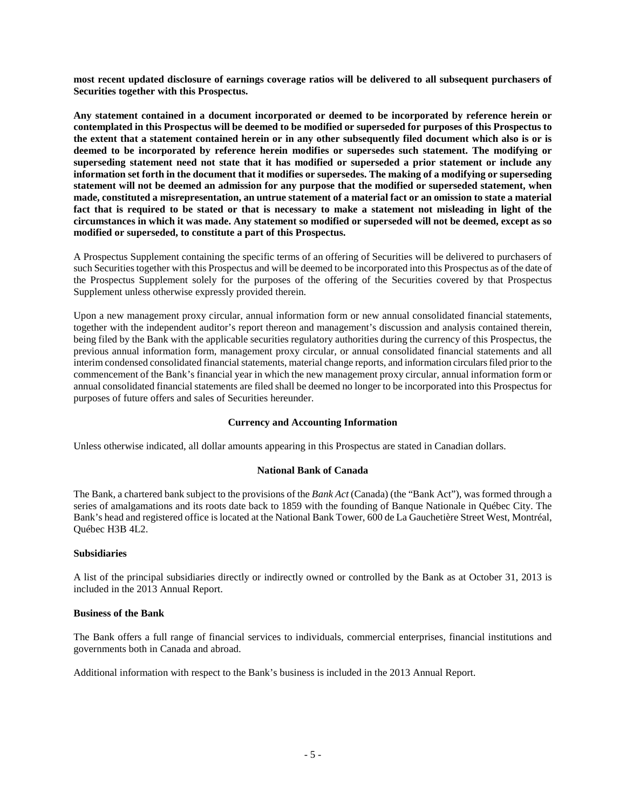**most recent updated disclosure of earnings coverage ratios will be delivered to all subsequent purchasers of Securities together with this Prospectus.**

**Any statement contained in a document incorporated or deemed to be incorporated by reference herein or contemplated in this Prospectus will be deemed to be modified or superseded for purposes of this Prospectus to the extent that a statement contained herein or in any other subsequently filed document which also is or is deemed to be incorporated by reference herein modifies or supersedes such statement. The modifying or superseding statement need not state that it has modified or superseded a prior statement or include any information set forth in the document that it modifies or supersedes. The making of a modifying or superseding statement will not be deemed an admission for any purpose that the modified or superseded statement, when made, constituted a misrepresentation, an untrue statement of a material fact or an omission to state a material fact that is required to be stated or that is necessary to make a statement not misleading in light of the circumstances in which it was made. Any statement so modified or superseded will not be deemed, except as so modified or superseded, to constitute a part of this Prospectus.**

A Prospectus Supplement containing the specific terms of an offering of Securities will be delivered to purchasers of such Securities together with this Prospectus and will be deemed to be incorporated into this Prospectus as of the date of the Prospectus Supplement solely for the purposes of the offering of the Securities covered by that Prospectus Supplement unless otherwise expressly provided therein.

Upon a new management proxy circular, annual information form or new annual consolidated financial statements, together with the independent auditor's report thereon and management's discussion and analysis contained therein, being filed by the Bank with the applicable securities regulatory authorities during the currency of this Prospectus, the previous annual information form, management proxy circular, or annual consolidated financial statements and all interim condensed consolidated financial statements, material change reports, and information circulars filed prior to the commencement of the Bank's financial year in which the new management proxy circular, annual information form or annual consolidated financial statements are filed shall be deemed no longer to be incorporated into this Prospectus for purposes of future offers and sales of Securities hereunder.

## <span id="page-4-0"></span>**Currency and Accounting Information**

Unless otherwise indicated, all dollar amounts appearing in this Prospectus are stated in Canadian dollars.

#### <span id="page-4-1"></span>**National Bank of Canada**

The Bank, a chartered bank subject to the provisions of the *Bank Act* (Canada) (the "Bank Act"), was formed through a series of amalgamations and its roots date back to 1859 with the founding of Banque Nationale in Québec City. The Bank's head and registered office is located at the National Bank Tower, 600 de La Gauchetière Street West, Montréal, Québec H3B 4L2.

#### **Subsidiaries**

A list of the principal subsidiaries directly or indirectly owned or controlled by the Bank as at October 31, 2013 is included in the 2013 Annual Report.

#### **Business of the Bank**

The Bank offers a full range of financial services to individuals, commercial enterprises, financial institutions and governments both in Canada and abroad.

Additional information with respect to the Bank's business is included in the 2013 Annual Report.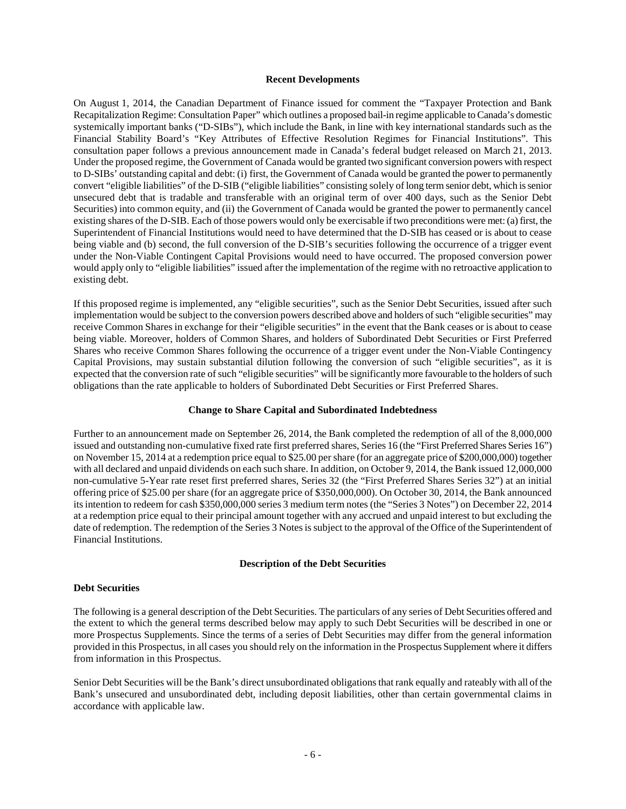#### <span id="page-5-0"></span>**Recent Developments**

On August 1, 2014, the Canadian Department of Finance issued for comment the "Taxpayer Protection and Bank Recapitalization Regime: Consultation Paper" which outlines a proposed bail-in regime applicable to Canada's domestic systemically important banks ("D-SIBs"), which include the Bank, in line with key international standards such as the Financial Stability Board's "Key Attributes of Effective Resolution Regimes for Financial Institutions". This consultation paper follows a previous announcement made in Canada's federal budget released on March 21, 2013. Under the proposed regime, the Government of Canada would be granted two significant conversion powers with respect to D-SIBs' outstanding capital and debt: (i) first, the Government of Canada would be granted the power to permanently convert "eligible liabilities" of the D-SIB ("eligible liabilities" consisting solely of long term senior debt, which is senior unsecured debt that is tradable and transferable with an original term of over 400 days, such as the Senior Debt Securities) into common equity, and (ii) the Government of Canada would be granted the power to permanently cancel existing shares of the D-SIB. Each of those powers would only be exercisable if two preconditions were met: (a) first, the Superintendent of Financial Institutions would need to have determined that the D-SIB has ceased or is about to cease being viable and (b) second, the full conversion of the D-SIB's securities following the occurrence of a trigger event under the Non-Viable Contingent Capital Provisions would need to have occurred. The proposed conversion power would apply only to "eligible liabilities" issued after the implementation of the regime with no retroactive application to existing debt.

If this proposed regime is implemented, any "eligible securities", such as the Senior Debt Securities, issued after such implementation would be subject to the conversion powers described above and holders of such "eligible securities" may receive Common Shares in exchange for their "eligible securities" in the event that the Bank ceases or is about to cease being viable. Moreover, holders of Common Shares, and holders of Subordinated Debt Securities or First Preferred Shares who receive Common Shares following the occurrence of a trigger event under the Non-Viable Contingency Capital Provisions, may sustain substantial dilution following the conversion of such "eligible securities", as it is expected that the conversion rate of such "eligible securities" will be significantly more favourable to the holders of such obligations than the rate applicable to holders of Subordinated Debt Securities or First Preferred Shares.

#### <span id="page-5-1"></span>**Change to Share Capital and Subordinated Indebtedness**

Further to an announcement made on September 26, 2014, the Bank completed the redemption of all of the 8,000,000 issued and outstanding non-cumulative fixed rate first preferred shares, Series 16 (the "First Preferred Shares Series 16") on November 15, 2014 at a redemption price equal to \$25.00 per share (for an aggregate price of \$200,000,000) together with all declared and unpaid dividends on each such share. In addition, on October 9, 2014, the Bank issued 12,000,000 non-cumulative 5-Year rate reset first preferred shares, Series 32 (the "First Preferred Shares Series 32") at an initial offering price of \$25.00 per share (for an aggregate price of \$350,000,000). On October 30, 2014, the Bank announced its intention to redeem for cash \$350,000,000 series 3 medium term notes (the "Series 3 Notes") on December 22, 2014 at a redemption price equal to their principal amount together with any accrued and unpaid interest to but excluding the date of redemption. The redemption of the Series 3 Notes is subject to the approval of the Office of the Superintendent of Financial Institutions.

#### <span id="page-5-2"></span>**Description of the Debt Securities**

#### **Debt Securities**

The following is a general description of the Debt Securities. The particulars of any series of Debt Securities offered and the extent to which the general terms described below may apply to such Debt Securities will be described in one or more Prospectus Supplements. Since the terms of a series of Debt Securities may differ from the general information provided in this Prospectus, in all cases you should rely on the information in the Prospectus Supplement where it differs from information in this Prospectus.

Senior Debt Securities will be the Bank's direct unsubordinated obligations that rank equally and rateably with all of the Bank's unsecured and unsubordinated debt, including deposit liabilities, other than certain governmental claims in accordance with applicable law.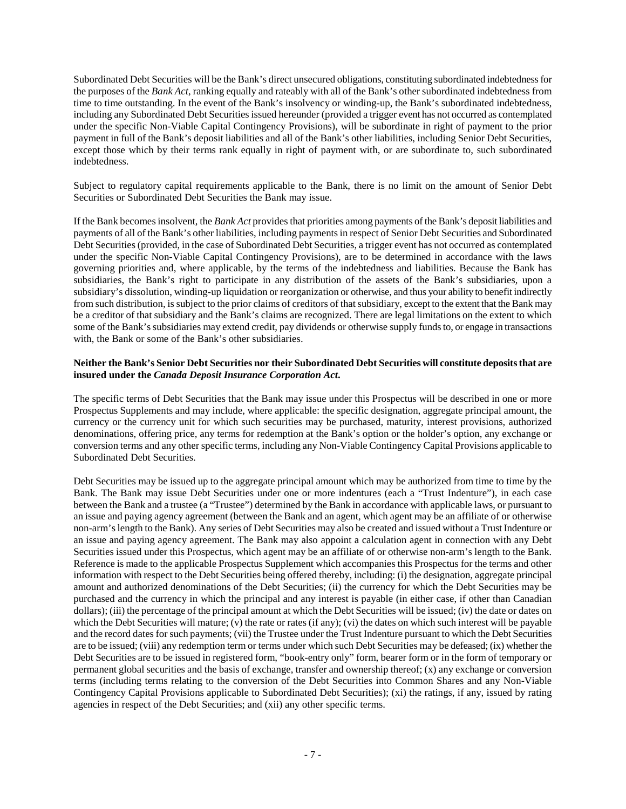Subordinated Debt Securities will be the Bank's direct unsecured obligations, constituting subordinated indebtedness for the purposes of the *Bank Act*, ranking equally and rateably with all of the Bank's other subordinated indebtedness from time to time outstanding. In the event of the Bank's insolvency or winding-up, the Bank's subordinated indebtedness, including any Subordinated Debt Securities issued hereunder (provided a trigger event has not occurred as contemplated under the specific Non-Viable Capital Contingency Provisions), will be subordinate in right of payment to the prior payment in full of the Bank's deposit liabilities and all of the Bank's other liabilities, including Senior Debt Securities, except those which by their terms rank equally in right of payment with, or are subordinate to, such subordinated indebtedness.

Subject to regulatory capital requirements applicable to the Bank, there is no limit on the amount of Senior Debt Securities or Subordinated Debt Securities the Bank may issue.

If the Bank becomes insolvent, the *Bank Act* provides that priorities among payments of the Bank's deposit liabilities and payments of all of the Bank's other liabilities, including payments in respect of Senior Debt Securities and Subordinated Debt Securities (provided, in the case of Subordinated Debt Securities, a trigger event has not occurred as contemplated under the specific Non-Viable Capital Contingency Provisions), are to be determined in accordance with the laws governing priorities and, where applicable, by the terms of the indebtedness and liabilities. Because the Bank has subsidiaries, the Bank's right to participate in any distribution of the assets of the Bank's subsidiaries, upon a subsidiary's dissolution, winding-up liquidation or reorganization or otherwise, and thus your ability to benefit indirectly from such distribution, is subject to the prior claims of creditors of that subsidiary, except to the extent that the Bank may be a creditor of that subsidiary and the Bank's claims are recognized. There are legal limitations on the extent to which some of the Bank's subsidiaries may extend credit, pay dividends or otherwise supply funds to, or engage in transactions with, the Bank or some of the Bank's other subsidiaries.

## **Neither the Bank's Senior Debt Securities nor their Subordinated Debt Securities will constitute deposits that are insured under the** *Canada Deposit Insurance Corporation Act***.**

The specific terms of Debt Securities that the Bank may issue under this Prospectus will be described in one or more Prospectus Supplements and may include, where applicable: the specific designation, aggregate principal amount, the currency or the currency unit for which such securities may be purchased, maturity, interest provisions, authorized denominations, offering price, any terms for redemption at the Bank's option or the holder's option, any exchange or conversion terms and any other specific terms, including any Non-Viable Contingency Capital Provisions applicable to Subordinated Debt Securities.

Debt Securities may be issued up to the aggregate principal amount which may be authorized from time to time by the Bank. The Bank may issue Debt Securities under one or more indentures (each a "Trust Indenture"), in each case between the Bank and a trustee (a "Trustee") determined by the Bank in accordance with applicable laws, or pursuant to an issue and paying agency agreement (between the Bank and an agent, which agent may be an affiliate of or otherwise non-arm's length to the Bank). Any series of Debt Securities may also be created and issued without a Trust Indenture or an issue and paying agency agreement. The Bank may also appoint a calculation agent in connection with any Debt Securities issued under this Prospectus, which agent may be an affiliate of or otherwise non-arm's length to the Bank. Reference is made to the applicable Prospectus Supplement which accompanies this Prospectus for the terms and other information with respect to the Debt Securities being offered thereby, including: (i) the designation, aggregate principal amount and authorized denominations of the Debt Securities; (ii) the currency for which the Debt Securities may be purchased and the currency in which the principal and any interest is payable (in either case, if other than Canadian dollars); (iii) the percentage of the principal amount at which the Debt Securities will be issued; (iv) the date or dates on which the Debt Securities will mature; (v) the rate or rates (if any); (vi) the dates on which such interest will be payable and the record dates for such payments; (vii) the Trustee under the Trust Indenture pursuant to which the Debt Securities are to be issued; (viii) any redemption term or terms under which such Debt Securities may be defeased; (ix) whether the Debt Securities are to be issued in registered form, "book-entry only" form, bearer form or in the form of temporary or permanent global securities and the basis of exchange, transfer and ownership thereof; (x) any exchange or conversion terms (including terms relating to the conversion of the Debt Securities into Common Shares and any Non-Viable Contingency Capital Provisions applicable to Subordinated Debt Securities); (xi) the ratings, if any, issued by rating agencies in respect of the Debt Securities; and (xii) any other specific terms.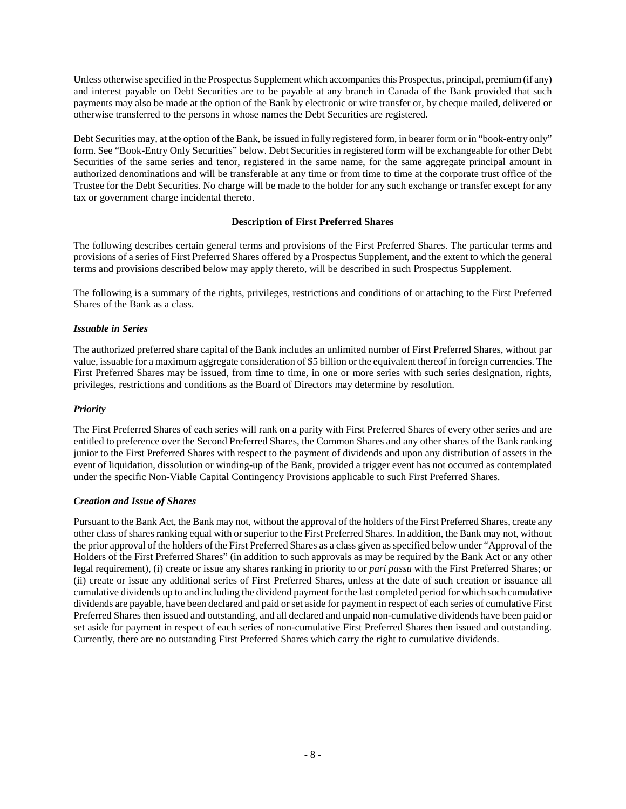Unless otherwise specified in the Prospectus Supplement which accompanies this Prospectus, principal, premium (if any) and interest payable on Debt Securities are to be payable at any branch in Canada of the Bank provided that such payments may also be made at the option of the Bank by electronic or wire transfer or, by cheque mailed, delivered or otherwise transferred to the persons in whose names the Debt Securities are registered.

Debt Securities may, at the option of the Bank, be issued in fully registered form, in bearer form or in "book-entry only" form. See "Book-Entry Only Securities" below. Debt Securities in registered form will be exchangeable for other Debt Securities of the same series and tenor, registered in the same name, for the same aggregate principal amount in authorized denominations and will be transferable at any time or from time to time at the corporate trust office of the Trustee for the Debt Securities. No charge will be made to the holder for any such exchange or transfer except for any tax or government charge incidental thereto.

# <span id="page-7-0"></span>**Description of First Preferred Shares**

The following describes certain general terms and provisions of the First Preferred Shares. The particular terms and provisions of a series of First Preferred Shares offered by a Prospectus Supplement, and the extent to which the general terms and provisions described below may apply thereto, will be described in such Prospectus Supplement.

The following is a summary of the rights, privileges, restrictions and conditions of or attaching to the First Preferred Shares of the Bank as a class.

## *Issuable in Series*

The authorized preferred share capital of the Bank includes an unlimited number of First Preferred Shares, without par value, issuable for a maximum aggregate consideration of \$5 billion or the equivalent thereof in foreign currencies. The First Preferred Shares may be issued, from time to time, in one or more series with such series designation, rights, privileges, restrictions and conditions as the Board of Directors may determine by resolution.

## *Priority*

The First Preferred Shares of each series will rank on a parity with First Preferred Shares of every other series and are entitled to preference over the Second Preferred Shares, the Common Shares and any other shares of the Bank ranking junior to the First Preferred Shares with respect to the payment of dividends and upon any distribution of assets in the event of liquidation, dissolution or winding-up of the Bank, provided a trigger event has not occurred as contemplated under the specific Non-Viable Capital Contingency Provisions applicable to such First Preferred Shares.

## *Creation and Issue of Shares*

Pursuant to the Bank Act, the Bank may not, without the approval of the holders of the First Preferred Shares, create any other class of shares ranking equal with or superior to the First Preferred Shares. In addition, the Bank may not, without the prior approval of the holders of the First Preferred Shares as a class given as specified below under "Approval of the Holders of the First Preferred Shares" (in addition to such approvals as may be required by the Bank Act or any other legal requirement), (i) create or issue any shares ranking in priority to or *pari passu* with the First Preferred Shares; or (ii) create or issue any additional series of First Preferred Shares, unless at the date of such creation or issuance all cumulative dividends up to and including the dividend payment for the last completed period for which such cumulative dividends are payable, have been declared and paid or set aside for payment in respect of each series of cumulative First Preferred Shares then issued and outstanding, and all declared and unpaid non-cumulative dividends have been paid or set aside for payment in respect of each series of non-cumulative First Preferred Shares then issued and outstanding. Currently, there are no outstanding First Preferred Shares which carry the right to cumulative dividends.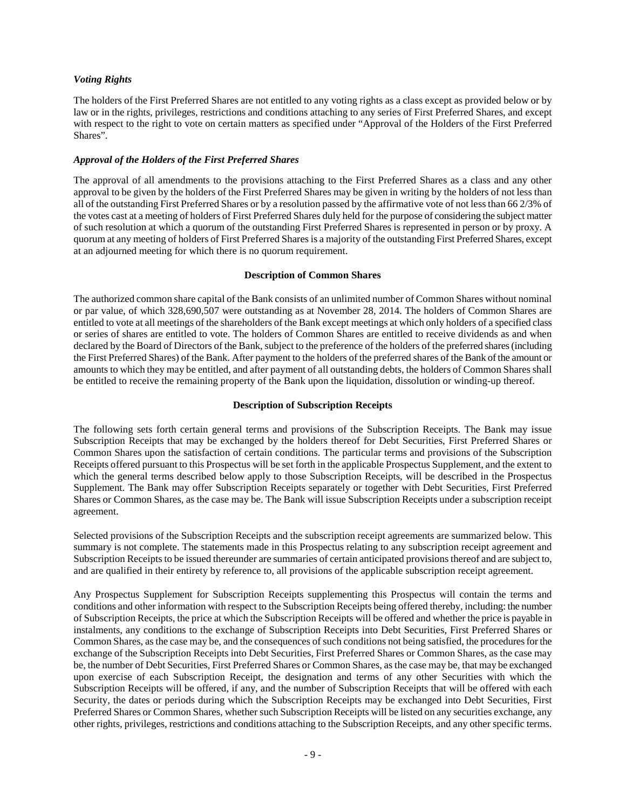#### *Voting Rights*

The holders of the First Preferred Shares are not entitled to any voting rights as a class except as provided below or by law or in the rights, privileges, restrictions and conditions attaching to any series of First Preferred Shares, and except with respect to the right to vote on certain matters as specified under "Approval of the Holders of the First Preferred Shares".

#### *Approval of the Holders of the First Preferred Shares*

The approval of all amendments to the provisions attaching to the First Preferred Shares as a class and any other approval to be given by the holders of the First Preferred Shares may be given in writing by the holders of not less than all of the outstanding First Preferred Shares or by a resolution passed by the affirmative vote of not less than 66 2/3% of the votes cast at a meeting of holders of First Preferred Shares duly held for the purpose of considering the subject matter of such resolution at which a quorum of the outstanding First Preferred Shares is represented in person or by proxy. A quorum at any meeting of holders of First Preferred Shares is a majority of the outstanding First Preferred Shares, except at an adjourned meeting for which there is no quorum requirement.

#### <span id="page-8-0"></span>**Description of Common Shares**

The authorized common share capital of the Bank consists of an unlimited number of Common Shares without nominal or par value, of which 328,690,507 were outstanding as at November 28, 2014. The holders of Common Shares are entitled to vote at all meetings of the shareholders of the Bank except meetings at which only holders of a specified class or series of shares are entitled to vote. The holders of Common Shares are entitled to receive dividends as and when declared by the Board of Directors of the Bank, subject to the preference of the holders of the preferred shares (including the First Preferred Shares) of the Bank. After payment to the holders of the preferred shares of the Bank of the amount or amounts to which they may be entitled, and after payment of all outstanding debts, the holders of Common Shares shall be entitled to receive the remaining property of the Bank upon the liquidation, dissolution or winding-up thereof.

#### <span id="page-8-1"></span>**Description of Subscription Receipts**

The following sets forth certain general terms and provisions of the Subscription Receipts. The Bank may issue Subscription Receipts that may be exchanged by the holders thereof for Debt Securities, First Preferred Shares or Common Shares upon the satisfaction of certain conditions. The particular terms and provisions of the Subscription Receipts offered pursuant to this Prospectus will be set forth in the applicable Prospectus Supplement, and the extent to which the general terms described below apply to those Subscription Receipts, will be described in the Prospectus Supplement. The Bank may offer Subscription Receipts separately or together with Debt Securities, First Preferred Shares or Common Shares, as the case may be. The Bank will issue Subscription Receipts under a subscription receipt agreement.

Selected provisions of the Subscription Receipts and the subscription receipt agreements are summarized below. This summary is not complete. The statements made in this Prospectus relating to any subscription receipt agreement and Subscription Receipts to be issued thereunder are summaries of certain anticipated provisions thereof and are subject to, and are qualified in their entirety by reference to, all provisions of the applicable subscription receipt agreement.

Any Prospectus Supplement for Subscription Receipts supplementing this Prospectus will contain the terms and conditions and other information with respect to the Subscription Receipts being offered thereby, including: the number of Subscription Receipts, the price at which the Subscription Receipts will be offered and whether the price is payable in instalments, any conditions to the exchange of Subscription Receipts into Debt Securities, First Preferred Shares or Common Shares, as the case may be, and the consequences of such conditions not being satisfied, the procedures for the exchange of the Subscription Receipts into Debt Securities, First Preferred Shares or Common Shares, as the case may be, the number of Debt Securities, First Preferred Shares or Common Shares, as the case may be, that may be exchanged upon exercise of each Subscription Receipt, the designation and terms of any other Securities with which the Subscription Receipts will be offered, if any, and the number of Subscription Receipts that will be offered with each Security, the dates or periods during which the Subscription Receipts may be exchanged into Debt Securities, First Preferred Shares or Common Shares, whether such Subscription Receipts will be listed on any securities exchange, any other rights, privileges, restrictions and conditions attaching to the Subscription Receipts, and any other specific terms.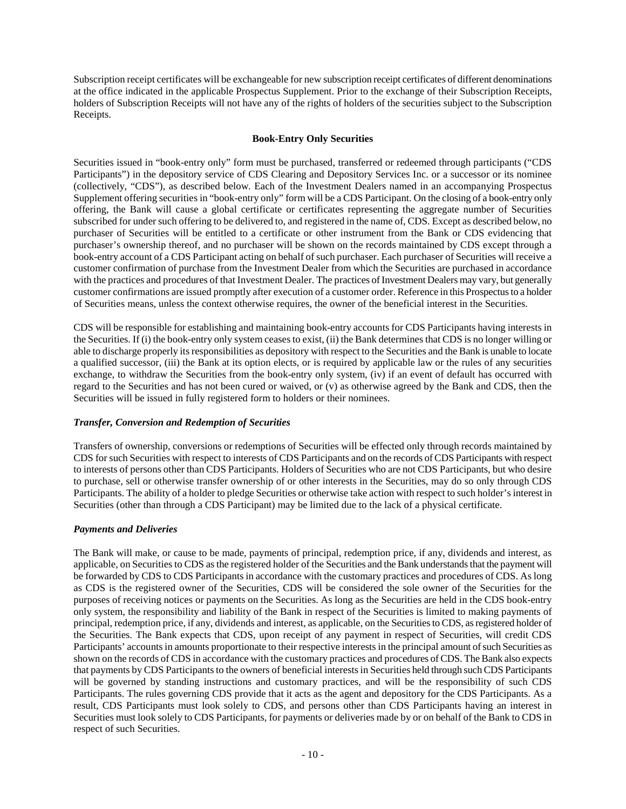Subscription receipt certificates will be exchangeable for new subscription receipt certificates of different denominations at the office indicated in the applicable Prospectus Supplement. Prior to the exchange of their Subscription Receipts, holders of Subscription Receipts will not have any of the rights of holders of the securities subject to the Subscription Receipts.

#### <span id="page-9-0"></span>**Book-Entry Only Securities**

Securities issued in "book-entry only" form must be purchased, transferred or redeemed through participants ("CDS Participants") in the depository service of CDS Clearing and Depository Services Inc. or a successor or its nominee (collectively, "CDS"), as described below. Each of the Investment Dealers named in an accompanying Prospectus Supplement offering securities in "book-entry only" form will be a CDS Participant. On the closing of a book-entry only offering, the Bank will cause a global certificate or certificates representing the aggregate number of Securities subscribed for under such offering to be delivered to, and registered in the name of, CDS. Except as described below, no purchaser of Securities will be entitled to a certificate or other instrument from the Bank or CDS evidencing that purchaser's ownership thereof, and no purchaser will be shown on the records maintained by CDS except through a book-entry account of a CDS Participant acting on behalf of such purchaser. Each purchaser of Securities will receive a customer confirmation of purchase from the Investment Dealer from which the Securities are purchased in accordance with the practices and procedures of that Investment Dealer. The practices of Investment Dealers may vary, but generally customer confirmations are issued promptly after execution of a customer order. Reference in this Prospectus to a holder of Securities means, unless the context otherwise requires, the owner of the beneficial interest in the Securities.

CDS will be responsible for establishing and maintaining book-entry accounts for CDS Participants having interests in the Securities. If (i) the book-entry only system ceases to exist, (ii) the Bank determines that CDS is no longer willing or able to discharge properly its responsibilities as depository with respect to the Securities and the Bank is unable to locate a qualified successor, (iii) the Bank at its option elects, or is required by applicable law or the rules of any securities exchange, to withdraw the Securities from the book-entry only system, (iv) if an event of default has occurred with regard to the Securities and has not been cured or waived, or (v) as otherwise agreed by the Bank and CDS, then the Securities will be issued in fully registered form to holders or their nominees.

## *Transfer, Conversion and Redemption of Securities*

Transfers of ownership, conversions or redemptions of Securities will be effected only through records maintained by CDS for such Securities with respect to interests of CDS Participants and on the records of CDS Participants with respect to interests of persons other than CDS Participants. Holders of Securities who are not CDS Participants, but who desire to purchase, sell or otherwise transfer ownership of or other interests in the Securities, may do so only through CDS Participants. The ability of a holder to pledge Securities or otherwise take action with respect to such holder's interest in Securities (other than through a CDS Participant) may be limited due to the lack of a physical certificate.

## *Payments and Deliveries*

The Bank will make, or cause to be made, payments of principal, redemption price, if any, dividends and interest, as applicable, on Securities to CDS as the registered holder of the Securities and the Bank understands that the payment will be forwarded by CDS to CDS Participants in accordance with the customary practices and procedures of CDS. As long as CDS is the registered owner of the Securities, CDS will be considered the sole owner of the Securities for the purposes of receiving notices or payments on the Securities. As long as the Securities are held in the CDS book-entry only system, the responsibility and liability of the Bank in respect of the Securities is limited to making payments of principal, redemption price, if any, dividends and interest, as applicable, on the Securities to CDS, as registered holder of the Securities. The Bank expects that CDS, upon receipt of any payment in respect of Securities, will credit CDS Participants' accounts in amounts proportionate to their respective interests in the principal amount of such Securities as shown on the records of CDS in accordance with the customary practices and procedures of CDS. The Bank also expects that payments by CDS Participants to the owners of beneficial interests in Securities held through such CDS Participants will be governed by standing instructions and customary practices, and will be the responsibility of such CDS Participants. The rules governing CDS provide that it acts as the agent and depository for the CDS Participants. As a result, CDS Participants must look solely to CDS, and persons other than CDS Participants having an interest in Securities must look solely to CDS Participants, for payments or deliveries made by or on behalf of the Bank to CDS in respect of such Securities.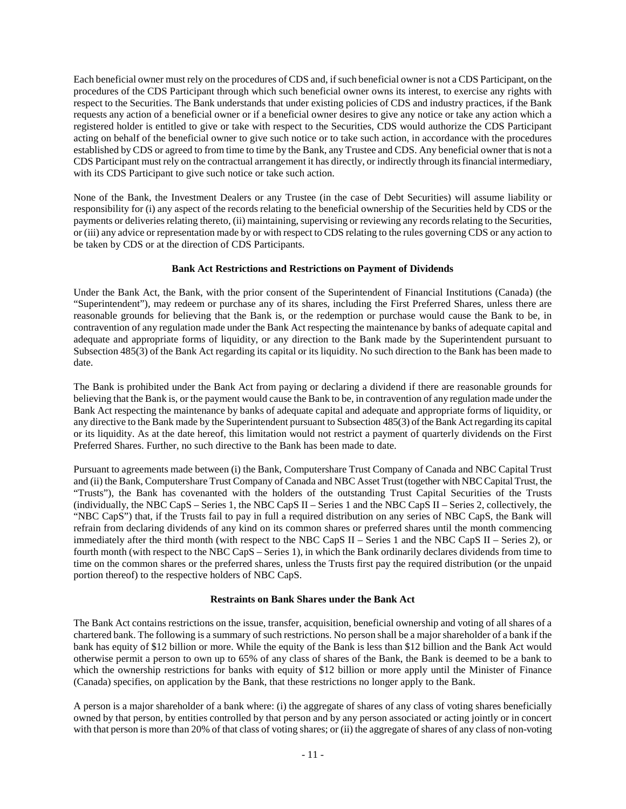Each beneficial owner must rely on the procedures of CDS and, if such beneficial owner is not a CDS Participant, on the procedures of the CDS Participant through which such beneficial owner owns its interest, to exercise any rights with respect to the Securities. The Bank understands that under existing policies of CDS and industry practices, if the Bank requests any action of a beneficial owner or if a beneficial owner desires to give any notice or take any action which a registered holder is entitled to give or take with respect to the Securities, CDS would authorize the CDS Participant acting on behalf of the beneficial owner to give such notice or to take such action, in accordance with the procedures established by CDS or agreed to from time to time by the Bank, any Trustee and CDS. Any beneficial owner that is not a CDS Participant must rely on the contractual arrangement it has directly, or indirectly through its financial intermediary, with its CDS Participant to give such notice or take such action.

None of the Bank, the Investment Dealers or any Trustee (in the case of Debt Securities) will assume liability or responsibility for (i) any aspect of the records relating to the beneficial ownership of the Securities held by CDS or the payments or deliveries relating thereto, (ii) maintaining, supervising or reviewing any records relating to the Securities, or (iii) any advice or representation made by or with respect to CDS relating to the rules governing CDS or any action to be taken by CDS or at the direction of CDS Participants.

## <span id="page-10-0"></span>**Bank Act Restrictions and Restrictions on Payment of Dividends**

Under the Bank Act, the Bank, with the prior consent of the Superintendent of Financial Institutions (Canada) (the "Superintendent"), may redeem or purchase any of its shares, including the First Preferred Shares, unless there are reasonable grounds for believing that the Bank is, or the redemption or purchase would cause the Bank to be, in contravention of any regulation made under the Bank Act respecting the maintenance by banks of adequate capital and adequate and appropriate forms of liquidity, or any direction to the Bank made by the Superintendent pursuant to Subsection 485(3) of the Bank Act regarding its capital or its liquidity. No such direction to the Bank has been made to date.

The Bank is prohibited under the Bank Act from paying or declaring a dividend if there are reasonable grounds for believing that the Bank is, or the payment would cause the Bank to be, in contravention of any regulation made under the Bank Act respecting the maintenance by banks of adequate capital and adequate and appropriate forms of liquidity, or any directive to the Bank made by the Superintendent pursuant to Subsection 485(3) of the Bank Act regarding its capital or its liquidity. As at the date hereof, this limitation would not restrict a payment of quarterly dividends on the First Preferred Shares. Further, no such directive to the Bank has been made to date.

Pursuant to agreements made between (i) the Bank, Computershare Trust Company of Canada and NBC Capital Trust and (ii) the Bank, Computershare Trust Company of Canada and NBC Asset Trust (together with NBC Capital Trust, the "Trusts"), the Bank has covenanted with the holders of the outstanding Trust Capital Securities of the Trusts (individually, the NBC CapS – Series 1, the NBC CapS II – Series 1 and the NBC CapS II – Series 2, collectively, the "NBC CapS") that, if the Trusts fail to pay in full a required distribution on any series of NBC CapS, the Bank will refrain from declaring dividends of any kind on its common shares or preferred shares until the month commencing immediately after the third month (with respect to the NBC CapS II – Series 1 and the NBC CapS II – Series 2), or fourth month (with respect to the NBC CapS – Series 1), in which the Bank ordinarily declares dividends from time to time on the common shares or the preferred shares, unless the Trusts first pay the required distribution (or the unpaid portion thereof) to the respective holders of NBC CapS.

## <span id="page-10-1"></span>**Restraints on Bank Shares under the Bank Act**

The Bank Act contains restrictions on the issue, transfer, acquisition, beneficial ownership and voting of all shares of a chartered bank. The following is a summary of such restrictions. No person shall be a major shareholder of a bank if the bank has equity of \$12 billion or more. While the equity of the Bank is less than \$12 billion and the Bank Act would otherwise permit a person to own up to 65% of any class of shares of the Bank, the Bank is deemed to be a bank to which the ownership restrictions for banks with equity of \$12 billion or more apply until the Minister of Finance (Canada) specifies, on application by the Bank, that these restrictions no longer apply to the Bank.

A person is a major shareholder of a bank where: (i) the aggregate of shares of any class of voting shares beneficially owned by that person, by entities controlled by that person and by any person associated or acting jointly or in concert with that person is more than 20% of that class of voting shares; or (ii) the aggregate of shares of any class of non-voting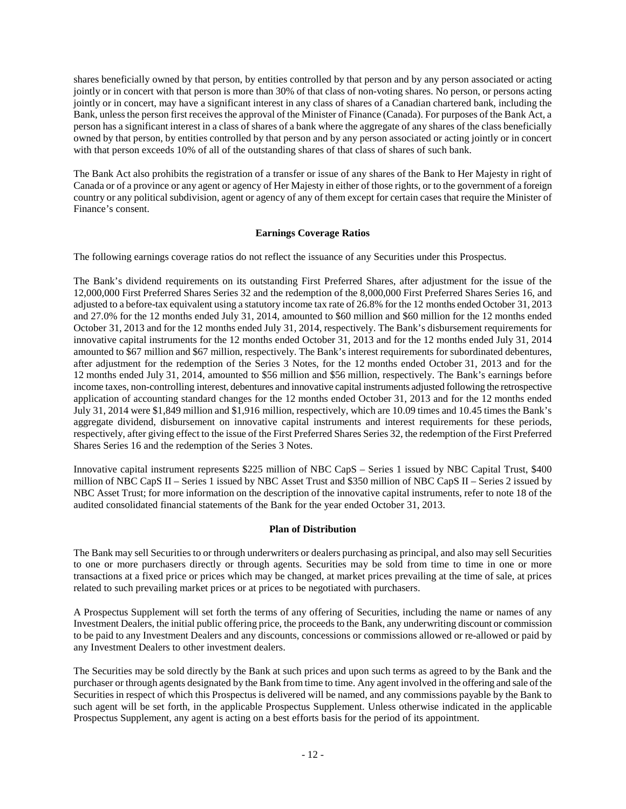shares beneficially owned by that person, by entities controlled by that person and by any person associated or acting jointly or in concert with that person is more than 30% of that class of non-voting shares. No person, or persons acting jointly or in concert, may have a significant interest in any class of shares of a Canadian chartered bank, including the Bank, unless the person first receives the approval of the Minister of Finance (Canada). For purposes of the Bank Act, a person has a significant interest in a class of shares of a bank where the aggregate of any shares of the class beneficially owned by that person, by entities controlled by that person and by any person associated or acting jointly or in concert with that person exceeds 10% of all of the outstanding shares of that class of shares of such bank.

The Bank Act also prohibits the registration of a transfer or issue of any shares of the Bank to Her Majesty in right of Canada or of a province or any agent or agency of Her Majesty in either of those rights, or to the government of a foreign country or any political subdivision, agent or agency of any of them except for certain cases that require the Minister of Finance's consent.

# <span id="page-11-0"></span>**Earnings Coverage Ratios**

The following earnings coverage ratios do not reflect the issuance of any Securities under this Prospectus.

The Bank's dividend requirements on its outstanding First Preferred Shares, after adjustment for the issue of the 12,000,000 First Preferred Shares Series 32 and the redemption of the 8,000,000 First Preferred Shares Series 16, and adjusted to a before-tax equivalent using a statutory income tax rate of 26.8% for the 12 months ended October 31, 2013 and 27.0% for the 12 months ended July 31, 2014, amounted to \$60 million and \$60 million for the 12 months ended October 31, 2013 and for the 12 months ended July 31, 2014, respectively. The Bank's disbursement requirements for innovative capital instruments for the 12 months ended October 31, 2013 and for the 12 months ended July 31, 2014 amounted to \$67 million and \$67 million, respectively. The Bank's interest requirements for subordinated debentures, after adjustment for the redemption of the Series 3 Notes, for the 12 months ended October 31, 2013 and for the 12 months ended July 31, 2014, amounted to \$56 million and \$56 million, respectively. The Bank's earnings before income taxes, non-controlling interest, debentures and innovative capital instruments adjusted following the retrospective application of accounting standard changes for the 12 months ended October 31, 2013 and for the 12 months ended July 31, 2014 were \$1,849 million and \$1,916 million, respectively, which are 10.09 times and 10.45 times the Bank's aggregate dividend, disbursement on innovative capital instruments and interest requirements for these periods, respectively, after giving effect to the issue of the First Preferred Shares Series 32, the redemption of the First Preferred Shares Series 16 and the redemption of the Series 3 Notes.

Innovative capital instrument represents \$225 million of NBC CapS – Series 1 issued by NBC Capital Trust, \$400 million of NBC CapS II – Series 1 issued by NBC Asset Trust and \$350 million of NBC CapS II – Series 2 issued by NBC Asset Trust; for more information on the description of the innovative capital instruments, refer to note 18 of the audited consolidated financial statements of the Bank for the year ended October 31, 2013.

## <span id="page-11-1"></span>**Plan of Distribution**

The Bank may sell Securities to or through underwriters or dealers purchasing as principal, and also may sell Securities to one or more purchasers directly or through agents. Securities may be sold from time to time in one or more transactions at a fixed price or prices which may be changed, at market prices prevailing at the time of sale, at prices related to such prevailing market prices or at prices to be negotiated with purchasers.

A Prospectus Supplement will set forth the terms of any offering of Securities, including the name or names of any Investment Dealers, the initial public offering price, the proceeds to the Bank, any underwriting discount or commission to be paid to any Investment Dealers and any discounts, concessions or commissions allowed or re-allowed or paid by any Investment Dealers to other investment dealers.

The Securities may be sold directly by the Bank at such prices and upon such terms as agreed to by the Bank and the purchaser or through agents designated by the Bank from time to time. Any agent involved in the offering and sale of the Securities in respect of which this Prospectus is delivered will be named, and any commissions payable by the Bank to such agent will be set forth, in the applicable Prospectus Supplement. Unless otherwise indicated in the applicable Prospectus Supplement, any agent is acting on a best efforts basis for the period of its appointment.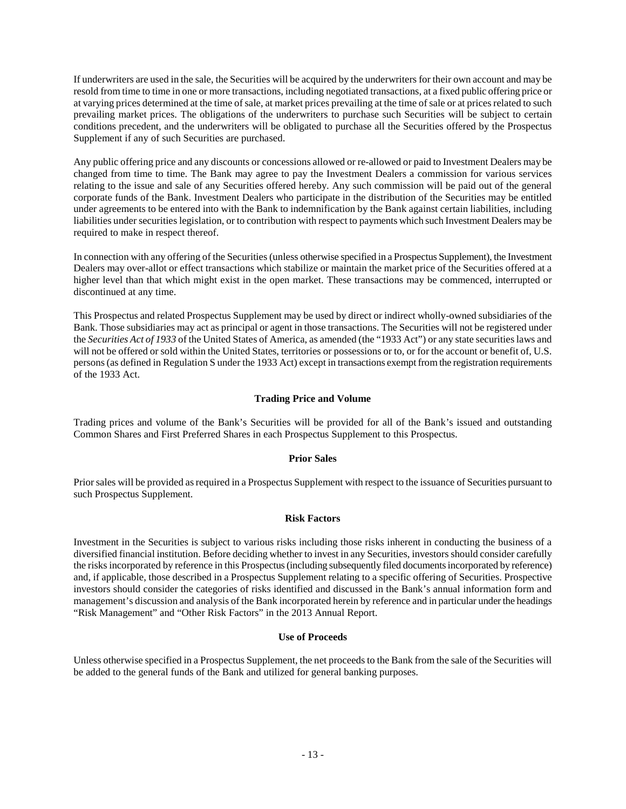If underwriters are used in the sale, the Securities will be acquired by the underwriters for their own account and may be resold from time to time in one or more transactions, including negotiated transactions, at a fixed public offering price or at varying prices determined at the time of sale, at market prices prevailing at the time of sale or at prices related to such prevailing market prices. The obligations of the underwriters to purchase such Securities will be subject to certain conditions precedent, and the underwriters will be obligated to purchase all the Securities offered by the Prospectus Supplement if any of such Securities are purchased.

Any public offering price and any discounts or concessions allowed or re-allowed or paid to Investment Dealers may be changed from time to time. The Bank may agree to pay the Investment Dealers a commission for various services relating to the issue and sale of any Securities offered hereby. Any such commission will be paid out of the general corporate funds of the Bank. Investment Dealers who participate in the distribution of the Securities may be entitled under agreements to be entered into with the Bank to indemnification by the Bank against certain liabilities, including liabilities under securities legislation, or to contribution with respect to payments which such Investment Dealers may be required to make in respect thereof.

In connection with any offering of the Securities (unless otherwise specified in a Prospectus Supplement), the Investment Dealers may over-allot or effect transactions which stabilize or maintain the market price of the Securities offered at a higher level than that which might exist in the open market. These transactions may be commenced, interrupted or discontinued at any time.

This Prospectus and related Prospectus Supplement may be used by direct or indirect wholly-owned subsidiaries of the Bank. Those subsidiaries may act as principal or agent in those transactions. The Securities will not be registered under the *Securities Act of 1933* of the United States of America, as amended (the "1933 Act") or any state securities laws and will not be offered or sold within the United States, territories or possessions or to, or for the account or benefit of, U.S. persons (as defined in Regulation S under the 1933 Act) except in transactions exempt from the registration requirements of the 1933 Act.

# <span id="page-12-0"></span>**Trading Price and Volume**

Trading prices and volume of the Bank's Securities will be provided for all of the Bank's issued and outstanding Common Shares and First Preferred Shares in each Prospectus Supplement to this Prospectus.

## <span id="page-12-1"></span>**Prior Sales**

Prior sales will be provided as required in a Prospectus Supplement with respect to the issuance of Securities pursuant to such Prospectus Supplement.

#### <span id="page-12-2"></span>**Risk Factors**

Investment in the Securities is subject to various risks including those risks inherent in conducting the business of a diversified financial institution. Before deciding whether to invest in any Securities, investors should consider carefully the risks incorporated by reference in this Prospectus (including subsequently filed documents incorporated by reference) and, if applicable, those described in a Prospectus Supplement relating to a specific offering of Securities. Prospective investors should consider the categories of risks identified and discussed in the Bank's annual information form and management's discussion and analysis of the Bank incorporated herein by reference and in particular under the headings "Risk Management" and "Other Risk Factors" in the 2013 Annual Report.

## <span id="page-12-3"></span>**Use of Proceeds**

Unless otherwise specified in a Prospectus Supplement, the net proceeds to the Bank from the sale of the Securities will be added to the general funds of the Bank and utilized for general banking purposes.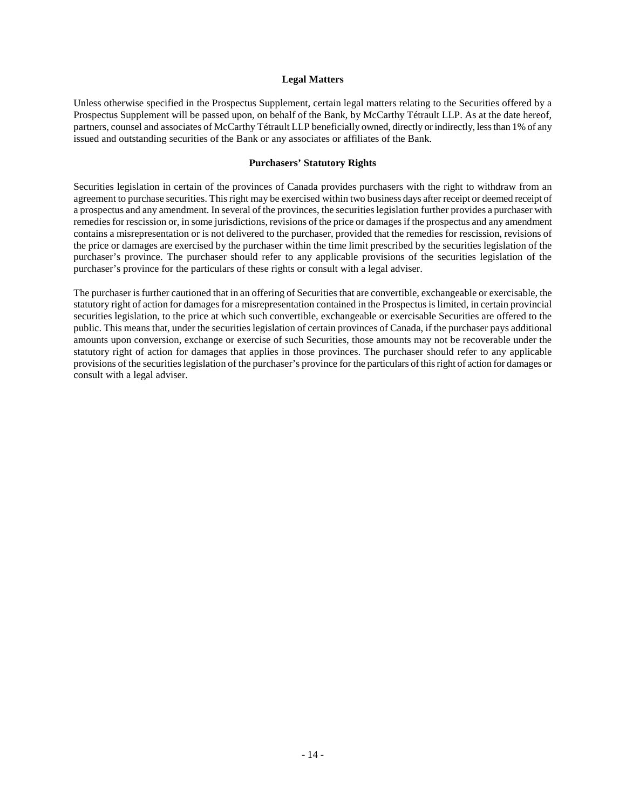#### <span id="page-13-0"></span>**Legal Matters**

Unless otherwise specified in the Prospectus Supplement, certain legal matters relating to the Securities offered by a Prospectus Supplement will be passed upon, on behalf of the Bank, by McCarthy Tétrault LLP. As at the date hereof, partners, counsel and associates of McCarthy Tétrault LLP beneficially owned, directly or indirectly, less than 1% of any issued and outstanding securities of the Bank or any associates or affiliates of the Bank.

#### <span id="page-13-1"></span>**Purchasers' Statutory Rights**

Securities legislation in certain of the provinces of Canada provides purchasers with the right to withdraw from an agreement to purchase securities. This right may be exercised within two business days after receipt or deemed receipt of a prospectus and any amendment. In several of the provinces, the securities legislation further provides a purchaser with remedies for rescission or, in some jurisdictions, revisions of the price or damages if the prospectus and any amendment contains a misrepresentation or is not delivered to the purchaser, provided that the remedies for rescission, revisions of the price or damages are exercised by the purchaser within the time limit prescribed by the securities legislation of the purchaser's province. The purchaser should refer to any applicable provisions of the securities legislation of the purchaser's province for the particulars of these rights or consult with a legal adviser.

The purchaser is further cautioned that in an offering of Securities that are convertible, exchangeable or exercisable, the statutory right of action for damages for a misrepresentation contained in the Prospectus is limited, in certain provincial securities legislation, to the price at which such convertible, exchangeable or exercisable Securities are offered to the public. This means that, under the securities legislation of certain provinces of Canada, if the purchaser pays additional amounts upon conversion, exchange or exercise of such Securities, those amounts may not be recoverable under the statutory right of action for damages that applies in those provinces. The purchaser should refer to any applicable provisions of the securities legislation of the purchaser's province for the particulars of this right of action for damages or consult with a legal adviser.